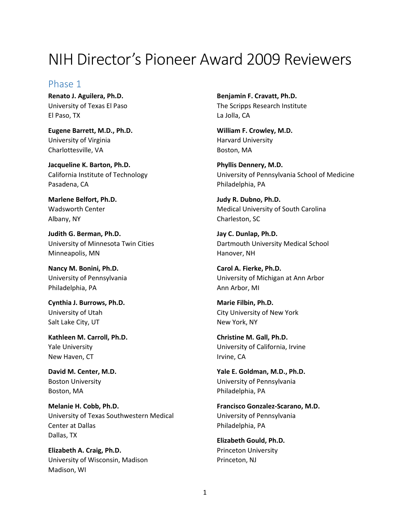# NIH Director's Pioneer Award 2009 Reviewers

## Phase 1

**Renato J. Aguilera, Ph.D.** University of Texas El Paso El Paso, TX

**Eugene Barrett, M.D., Ph.D.** University of Virginia Charlottesville, VA

**Jacqueline K. Barton, Ph.D.** California Institute of Technology Pasadena, CA

**Marlene Belfort, Ph.D.** Wadsworth Center Albany, NY

**Judith G. Berman, Ph.D.** University of Minnesota Twin Cities Minneapolis, MN

**Nancy M. Bonini, Ph.D.** University of Pennsylvania Philadelphia, PA

**Cynthia J. Burrows, Ph.D.** University of Utah Salt Lake City, UT

**Kathleen M. Carroll, Ph.D.** Yale University New Haven, CT

**David M. Center, M.D.** Boston University Boston, MA

**Melanie H. Cobb, Ph.D.** University of Texas Southwestern Medical Center at Dallas Dallas, TX

**Elizabeth A. Craig, Ph.D.** University of Wisconsin, Madison Madison, WI

**Benjamin F. Cravatt, Ph.D.** The Scripps Research Institute La Jolla, CA

**William F. Crowley, M.D.** Harvard University Boston, MA

**Phyllis Dennery, M.D.** University of Pennsylvania School of Medicine Philadelphia, PA

**Judy R. Dubno, Ph.D.** Medical University of South Carolina Charleston, SC

**Jay C. Dunlap, Ph.D.** Dartmouth University Medical School Hanover, NH

**Carol A. Fierke, Ph.D.** University of Michigan at Ann Arbor Ann Arbor, MI

**Marie Filbin, Ph.D.** City University of New York New York, NY

**Christine M. Gall, Ph.D.** University of California, Irvine Irvine, CA

**Yale E. Goldman, M.D., Ph.D.** University of Pennsylvania Philadelphia, PA

**Francisco Gonzalez-Scarano, M.D.** University of Pennsylvania Philadelphia, PA

**Elizabeth Gould, Ph.D.** Princeton University Princeton, NJ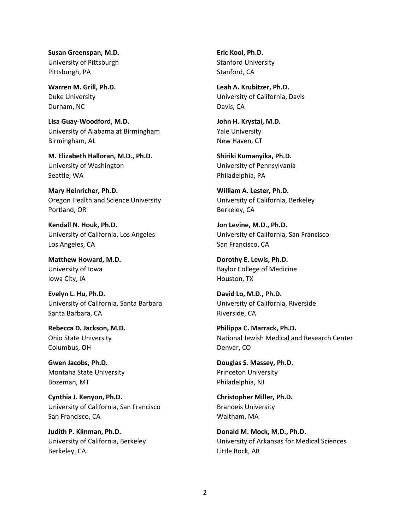**Susan Greenspan, M.D.** University of Pittsburgh Pittsburgh, PA

**Warren M. Grill, Ph.D.** Duke University Durham, NC

**Lisa Guay-Woodford, M.D.** University of Alabama at Birmingham Birmingham, AL

**M. Elizabeth Halloran, M.D., Ph.D.** University of Washington Seattle, WA

**Mary Heinricher, Ph.D.** Oregon Health and Science University Portland, OR

**Kendall N. Houk, Ph.D.** University of California, Los Angeles Los Angeles, CA

**Matthew Howard, M.D.** University of Iowa Iowa City, IA

**Evelyn L. Hu, Ph.D.** University of California, Santa Barbara Santa Barbara, CA

**Rebecca D. Jackson, M.D.** Ohio State University Columbus, OH

**Gwen Jacobs, Ph.D.** Montana State University Bozeman, MT

**Cynthia J. Kenyon, Ph.D.** University of California, San Francisco San Francisco, CA

**Judith P. Klinman, Ph.D.** University of California, Berkeley Berkeley, CA

**Eric Kool, Ph.D.** Stanford University Stanford, CA

**Leah A. Krubitzer, Ph.D.** University of California, Davis Davis, CA

**John H. Krystal, M.D.** Yale University New Haven, CT

**Shiriki Kumanyika, Ph.D.** University of Pennsylvania Philadelphia, PA

**William A. Lester, Ph.D.** University of California, Berkeley Berkeley, CA

**Jon Levine, M.D., Ph.D.** University of California, San Francisco San Francisco, CA

**Dorothy E. Lewis, Ph.D.** Baylor College of Medicine Houston, TX

**David Lo, M.D., Ph.D.** University of California, Riverside Riverside, CA

**Philippa C. Marrack, Ph.D.** National Jewish Medical and Research Center Denver, CO

**Douglas S. Massey, Ph.D.** Princeton University Philadelphia, NJ

**Christopher Miller, Ph.D.** Brandeis University Waltham, MA

**Donald M. Mock, M.D., Ph.D.** University of Arkansas for Medical Sciences Little Rock, AR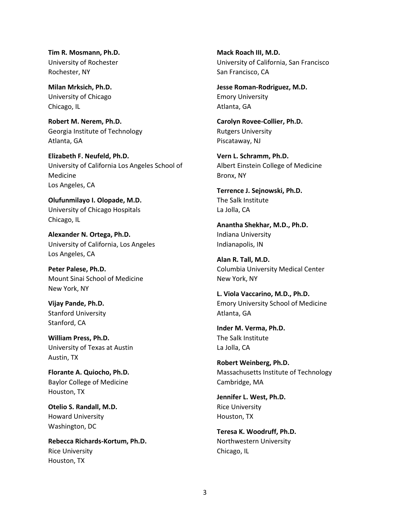**Tim R. Mosmann, Ph.D.** University of Rochester Rochester, NY

**Milan Mrksich, Ph.D.** University of Chicago Chicago, IL

**Robert M. Nerem, Ph.D.** Georgia Institute of Technology Atlanta, GA

**Elizabeth F. Neufeld, Ph.D.** University of California Los Angeles School of Medicine Los Angeles, CA

**Olufunmilayo I. Olopade, M.D.** University of Chicago Hospitals Chicago, IL

**Alexander N. Ortega, Ph.D.** University of California, Los Angeles Los Angeles, CA

**Peter Palese, Ph.D.** Mount Sinai School of Medicine New York, NY

**Vijay Pande, Ph.D.** Stanford University Stanford, CA

**William Press, Ph.D.** University of Texas at Austin Austin, TX

**Florante A. Quiocho, Ph.D.** Baylor College of Medicine Houston, TX

**Otelio S. Randall, M.D.** Howard University Washington, DC

**Rebecca Richards-Kortum, Ph.D.** Rice University Houston, TX

**Mack Roach III, M.D.** University of California, San Francisco San Francisco, CA

**Jesse Roman-Rodriguez, M.D.** Emory University Atlanta, GA

**Carolyn Rovee-Collier, Ph.D.** Rutgers University Piscataway, NJ

**Vern L. Schramm, Ph.D.** Albert Einstein College of Medicine Bronx, NY

**Terrence J. Sejnowski, Ph.D.** The Salk Institute La Jolla, CA

**Anantha Shekhar, M.D., Ph.D.** Indiana University Indianapolis, IN

**Alan R. Tall, M.D.** Columbia University Medical Center New York, NY

**L. Viola Vaccarino, M.D., Ph.D.** Emory University School of Medicine Atlanta, GA

**Inder M. Verma, Ph.D.** The Salk Institute La Jolla, CA

**Robert Weinberg, Ph.D.** Massachusetts Institute of Technology Cambridge, MA

**Jennifer L. West, Ph.D.** Rice University Houston, TX

**Teresa K. Woodruff, Ph.D.** Northwestern University Chicago, IL